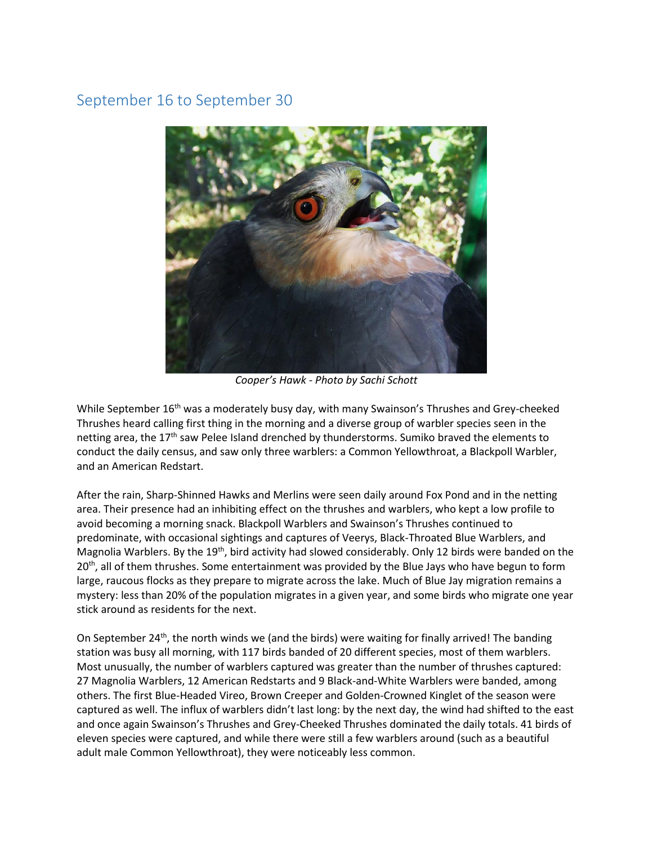## September 16 to September 30



*Cooper's Hawk - Photo by Sachi Schott* 

While September 16<sup>th</sup> was a moderately busy day, with many Swainson's Thrushes and Grey-cheeked Thrushes heard calling first thing in the morning and a diverse group of warbler species seen in the netting area, the 17<sup>th</sup> saw Pelee Island drenched by thunderstorms. Sumiko braved the elements to conduct the daily census, and saw only three warblers: a Common Yellowthroat, a Blackpoll Warbler, and an American Redstart.

After the rain, Sharp-Shinned Hawks and Merlins were seen daily around Fox Pond and in the netting area. Their presence had an inhibiting effect on the thrushes and warblers, who kept a low profile to avoid becoming a morning snack. Blackpoll Warblers and Swainson's Thrushes continued to predominate, with occasional sightings and captures of Veerys, Black-Throated Blue Warblers, and Magnolia Warblers. By the 19<sup>th</sup>, bird activity had slowed considerably. Only 12 birds were banded on the  $20<sup>th</sup>$ , all of them thrushes. Some entertainment was provided by the Blue Jays who have begun to form large, raucous flocks as they prepare to migrate across the lake. Much of Blue Jay migration remains a mystery: less than 20% of the population migrates in a given year, and some birds who migrate one year stick around as residents for the next.

On September 24<sup>th</sup>, the north winds we (and the birds) were waiting for finally arrived! The banding station was busy all morning, with 117 birds banded of 20 different species, most of them warblers. Most unusually, the number of warblers captured was greater than the number of thrushes captured: 27 Magnolia Warblers, 12 American Redstarts and 9 Black-and-White Warblers were banded, among others. The first Blue-Headed Vireo, Brown Creeper and Golden-Crowned Kinglet of the season were captured as well. The influx of warblers didn't last long: by the next day, the wind had shifted to the east and once again Swainson's Thrushes and Grey-Cheeked Thrushes dominated the daily totals. 41 birds of eleven species were captured, and while there were still a few warblers around (such as a beautiful adult male Common Yellowthroat), they were noticeably less common.